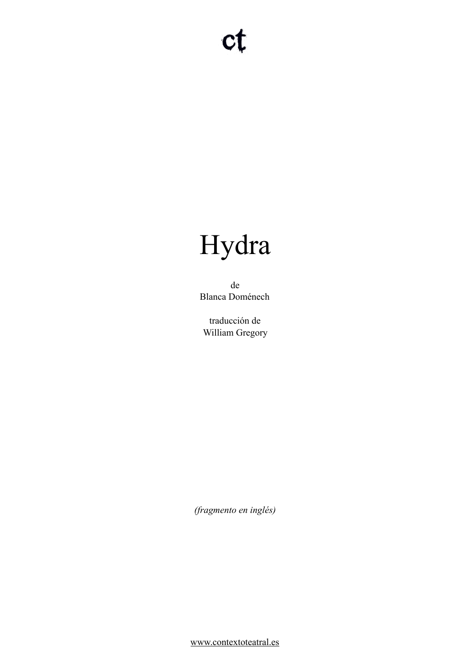# Hydra

de Blanca Doménech

traducción de William Gregory

*(fragmento en inglés)* 

[www.contextoteatral.es](http://www.contextoteatral.es)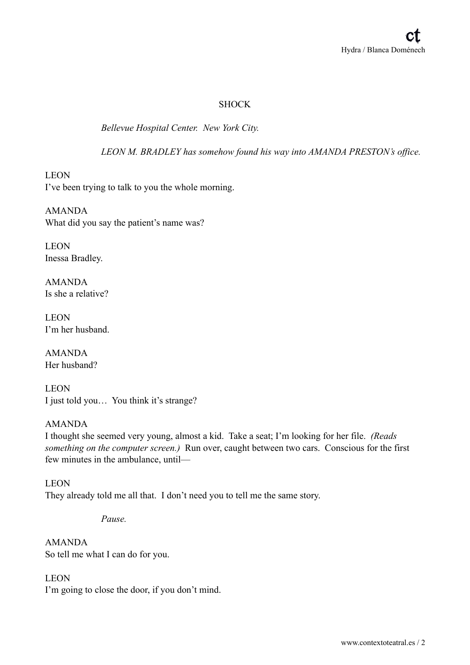# **SHOCK**

*Bellevue Hospital Center. New York City.* 

*LEON M. BRADLEY has somehow found his way into AMANDA PRESTON's office.* 

LEON I've been trying to talk to you the whole morning.

AMANDA What did you say the patient's name was?

LEON Inessa Bradley.

AMANDA Is she a relative?

**LEON** I'm her husband.

AMANDA Her husband?

LEON I just told you… You think it's strange?

# AMANDA

I thought she seemed very young, almost a kid. Take a seat; I'm looking for her file. *(Reads something on the computer screen.)* Run over, caught between two cars. Conscious for the first few minutes in the ambulance, until—

LEON They already told me all that. I don't need you to tell me the same story.

*Pause.* 

AMANDA So tell me what I can do for you.

LEON I'm going to close the door, if you don't mind.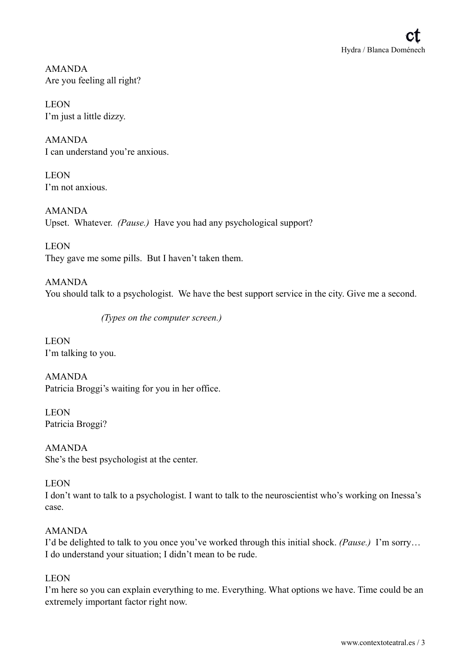AMANDA Are you feeling all right?

LEON I'm just a little dizzy.

AMANDA I can understand you're anxious.

LEON I'm not anxious.

AMANDA Upset. Whatever. *(Pause.)* Have you had any psychological support?

LEON They gave me some pills. But I haven't taken them.

AMANDA You should talk to a psychologist. We have the best support service in the city. Give me a second.

*(Types on the computer screen.)* 

LEON I'm talking to you.

AMANDA Patricia Broggi's waiting for you in her office.

LEON Patricia Broggi?

AMANDA She's the best psychologist at the center.

LEON

I don't want to talk to a psychologist. I want to talk to the neuroscientist who's working on Inessa's case.

# AMANDA

I'd be delighted to talk to you once you've worked through this initial shock. *(Pause.)* I'm sorry… I do understand your situation; I didn't mean to be rude.

#### LEON

I'm here so you can explain everything to me. Everything. What options we have. Time could be an extremely important factor right now.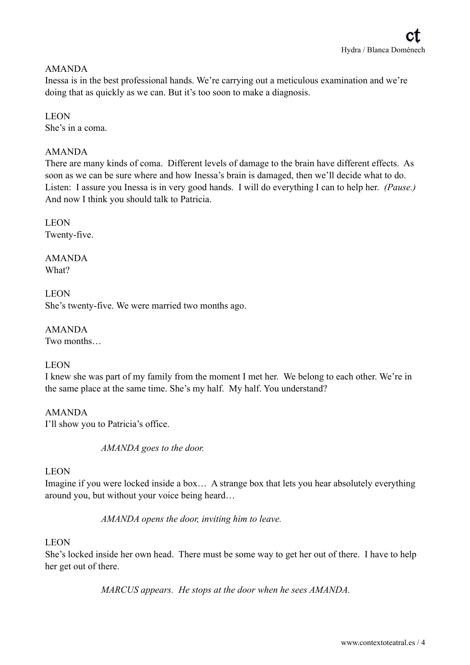### AMANDA

Inessa is in the best professional hands. We're carrying out a meticulous examination and we're doing that as quickly as we can. But it's too soon to make a diagnosis.

# LEON

She's in a coma.

# AMANDA

There are many kinds of coma. Different levels of damage to the brain have different effects. As soon as we can be sure where and how Inessa's brain is damaged, then we'll decide what to do. Listen: I assure you Inessa is in very good hands. I will do everything I can to help her. *(Pause.)* And now I think you should talk to Patricia.

**LEON** Twenty-five.

AMANDA What?

**LEON** She's twenty-five. We were married two months ago.

AMANDA Two months…

#### LEON

I knew she was part of my family from the moment I met her. We belong to each other. We're in the same place at the same time. She's my half. My half. You understand?

AMANDA I'll show you to Patricia's office.

*AMANDA goes to the door.* 

# LEON

Imagine if you were locked inside a box… A strange box that lets you hear absolutely everything around you, but without your voice being heard…

*AMANDA opens the door, inviting him to leave.* 

#### LEON

She's locked inside her own head. There must be some way to get her out of there. I have to help her get out of there.

*MARCUS appears. He stops at the door when he sees AMANDA.*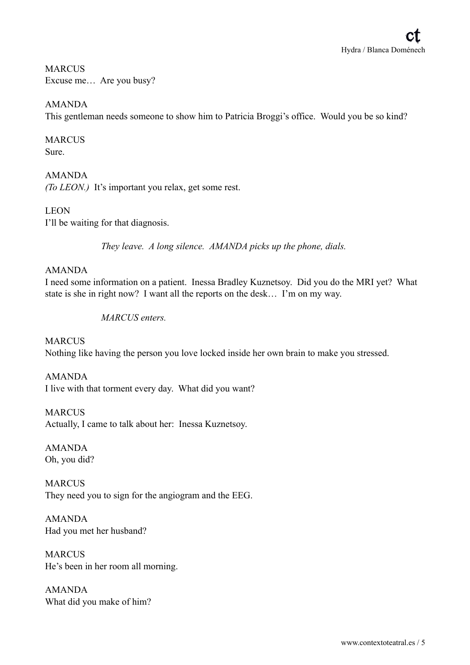# **MARCUS** Excuse me… Are you busy?

AMANDA This gentleman needs someone to show him to Patricia Broggi's office. Would you be so kind?

# **MARCUS**

Sure.

# AMANDA

*(To LEON.)* It's important you relax, get some rest.

# LEON I'll be waiting for that diagnosis.

*They leave. A long silence. AMANDA picks up the phone, dials.* 

# AMANDA

I need some information on a patient. Inessa Bradley Kuznetsoy. Did you do the MRI yet? What state is she in right now? I want all the reports on the desk… I'm on my way.

#### *MARCUS enters.*

**MARCUS** Nothing like having the person you love locked inside her own brain to make you stressed.

# AMANDA I live with that torment every day. What did you want?

**MARCUS** Actually, I came to talk about her: Inessa Kuznetsoy.

AMANDA Oh, you did?

# **MARCUS** They need you to sign for the angiogram and the EEG.

AMANDA Had you met her husband?

MARCUS He's been in her room all morning.

AMANDA What did you make of him?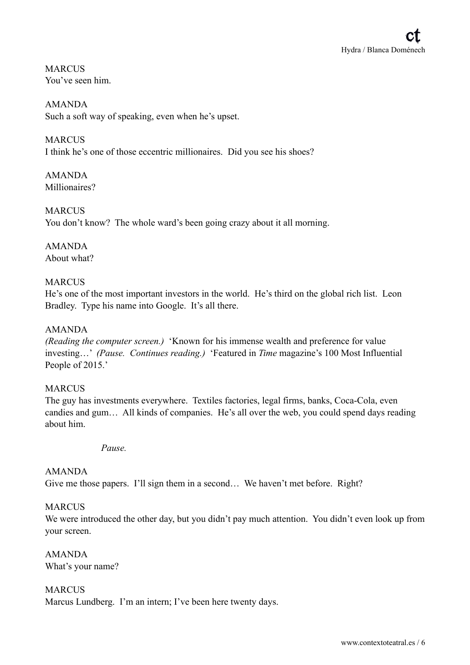**MARCUS** You've seen him.

AMANDA Such a soft way of speaking, even when he's upset.

# **MARCUS**

I think he's one of those eccentric millionaires. Did you see his shoes?

AMANDA Millionaires?

**MARCUS** You don't know? The whole ward's been going crazy about it all morning.

AMANDA About what?

#### **MARCUS**

He's one of the most important investors in the world. He's third on the global rich list. Leon Bradley. Type his name into Google. It's all there.

#### AMANDA

*(Reading the computer screen.)* 'Known for his immense wealth and preference for value investing…' *(Pause. Continues reading.)* 'Featured in *Time* magazine's 100 Most Influential People of 2015.'

#### **MARCUS**

The guy has investments everywhere. Textiles factories, legal firms, banks, Coca-Cola, even candies and gum… All kinds of companies. He's all over the web, you could spend days reading about him.

*Pause.* 

#### AMANDA

Give me those papers. I'll sign them in a second… We haven't met before. Right?

#### **MARCUS**

We were introduced the other day, but you didn't pay much attention. You didn't even look up from your screen.

AMANDA What's your name?

MARCUS Marcus Lundberg. I'm an intern; I've been here twenty days.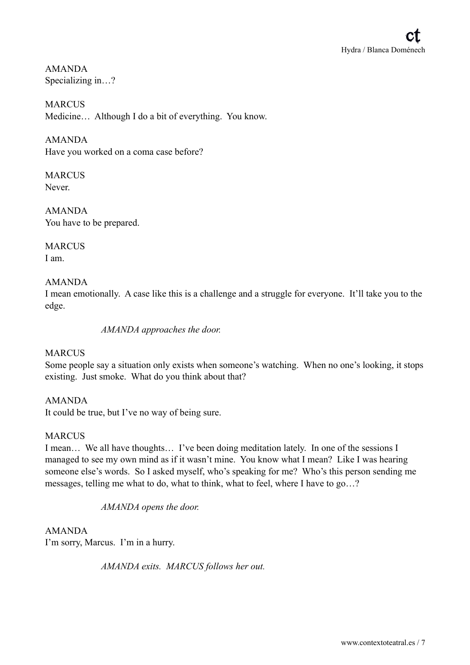AMANDA Specializing in…?

**MARCUS** Medicine… Although I do a bit of everything. You know.

AMANDA Have you worked on a coma case before?

**MARCUS** Never.

AMANDA You have to be prepared.

**MARCUS** I am.

# AMANDA

I mean emotionally. A case like this is a challenge and a struggle for everyone. It'll take you to the edge.

*AMANDA approaches the door.* 

# **MARCUS**

Some people say a situation only exists when someone's watching. When no one's looking, it stops existing. Just smoke. What do you think about that?

AMANDA It could be true, but I've no way of being sure.

# MARCUS

I mean… We all have thoughts… I've been doing meditation lately. In one of the sessions I managed to see my own mind as if it wasn't mine. You know what I mean? Like I was hearing someone else's words. So I asked myself, who's speaking for me? Who's this person sending me messages, telling me what to do, what to think, what to feel, where I have to go…?

*AMANDA opens the door.* 

AMANDA I'm sorry, Marcus. I'm in a hurry.

*AMANDA exits. MARCUS follows her out.*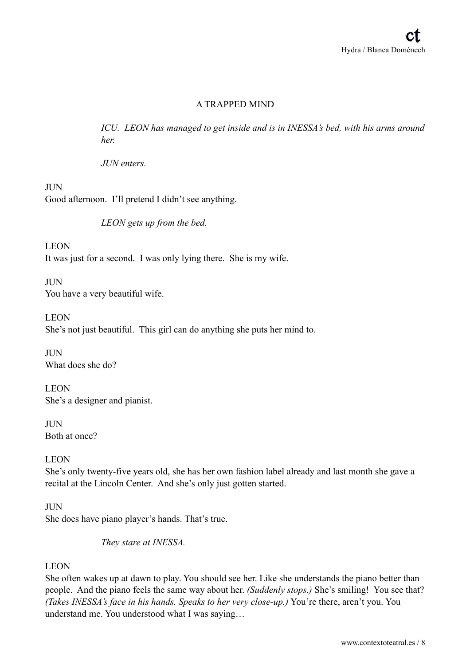# A TRAPPED MIND

*ICU. LEON has managed to get inside and is in INESSA's bed, with his arms around her.* 

*JUN enters.* 

**II** IN Good afternoon. I'll pretend I didn't see anything.

*LEON gets up from the bed.* 

LEON It was just for a second. I was only lying there. She is my wife.

**JUN** You have a very beautiful wife.

**LEON** She's not just beautiful. This girl can do anything she puts her mind to.

**III**N What does she do?

LEON She's a designer and pianist.

JUN Both at once?

LEON

She's only twenty-five years old, she has her own fashion label already and last month she gave a recital at the Lincoln Center. And she's only just gotten started.

#### **JUN**

She does have piano player's hands. That's true.

*They stare at INESSA.* 

#### LEON

She often wakes up at dawn to play. You should see her. Like she understands the piano better than people. And the piano feels the same way about her. *(Suddenly stops.)* She's smiling! You see that? *(Takes INESSA's face in his hands. Speaks to her very close-up.)* You're there, aren't you. You understand me. You understood what I was saying…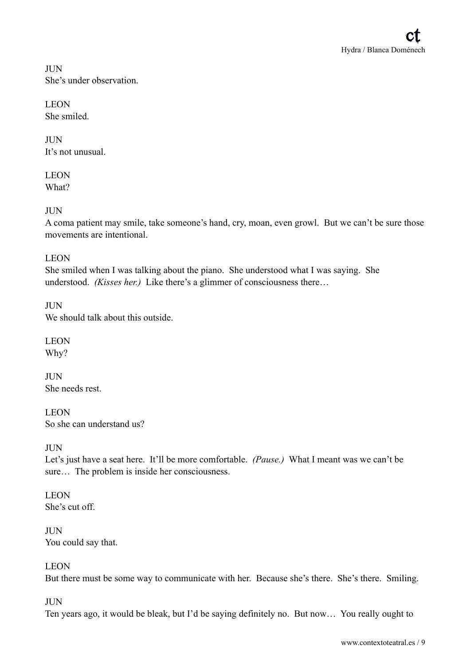**II** IN She's under observation.

**LEON** She smiled.

**II** IN It's not unusual.

LEON What?

JUN

A coma patient may smile, take someone's hand, cry, moan, even growl. But we can't be sure those movements are intentional.

# LEON

She smiled when I was talking about the piano. She understood what I was saying. She understood. *(Kisses her.)* Like there's a glimmer of consciousness there…

**JUN** We should talk about this outside.

LEON Why?

**JUN** She needs rest.

LEON So she can understand us?

# **JUN**

Let's just have a seat here. It'll be more comfortable. *(Pause.)* What I meant was we can't be sure… The problem is inside her consciousness.

LEON She's cut off.

JUN You could say that.

# LEON

But there must be some way to communicate with her. Because she's there. She's there. Smiling.

#### JUN

Ten years ago, it would be bleak, but I'd be saying definitely no. But now… You really ought to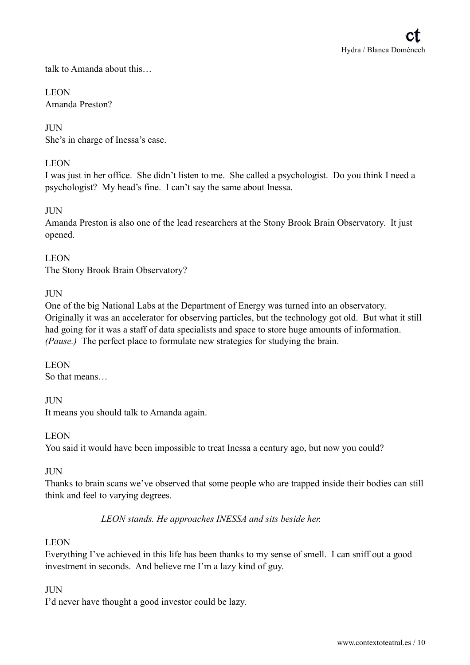talk to Amanda about this…

#### **LEON** Amanda Preston?

#### **JUN**

She's in charge of Inessa's case.

### **LEON**

I was just in her office. She didn't listen to me. She called a psychologist. Do you think I need a psychologist? My head's fine. I can't say the same about Inessa.

# **III**N

Amanda Preston is also one of the lead researchers at the Stony Brook Brain Observatory. It just opened.

**LEON** The Stony Brook Brain Observatory?

#### **II** IN

One of the big National Labs at the Department of Energy was turned into an observatory. Originally it was an accelerator for observing particles, but the technology got old. But what it still had going for it was a staff of data specialists and space to store huge amounts of information. *(Pause.)* The perfect place to formulate new strategies for studying the brain.

LEON So that means…

#### JUN

It means you should talk to Amanda again.

#### LEON

You said it would have been impossible to treat Inessa a century ago, but now you could?

#### JUN

Thanks to brain scans we've observed that some people who are trapped inside their bodies can still think and feel to varying degrees.

#### *LEON stands. He approaches INESSA and sits beside her.*

#### LEON

Everything I've achieved in this life has been thanks to my sense of smell. I can sniff out a good investment in seconds. And believe me I'm a lazy kind of guy.

#### JUN

I'd never have thought a good investor could be lazy.